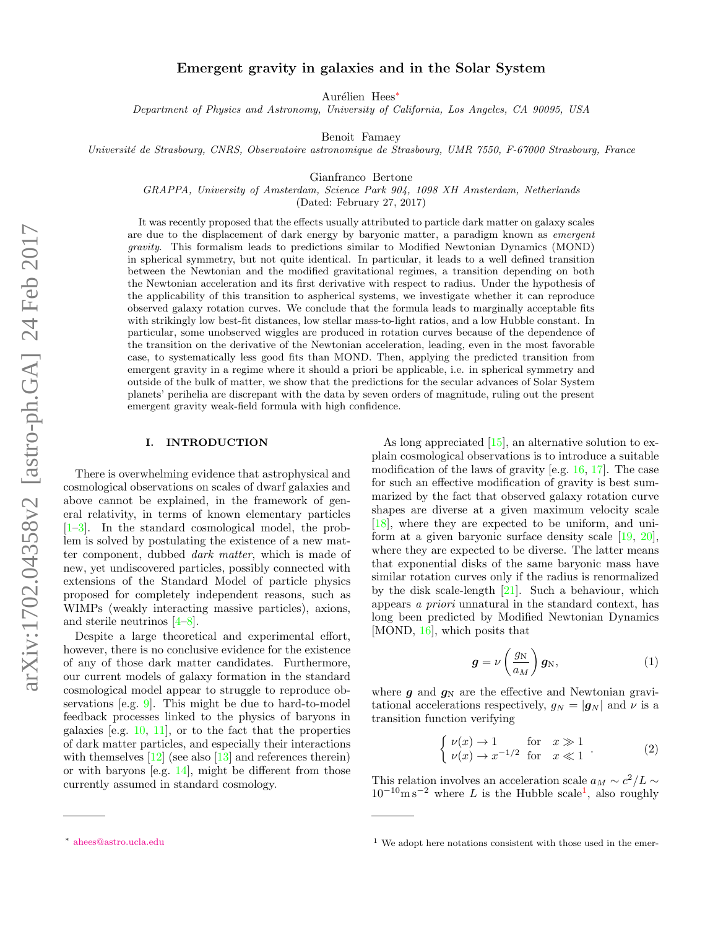# Emergent gravity in galaxies and in the Solar System

Aurélien Hees<sup>[∗](#page-0-0)</sup>

Department of Physics and Astronomy, University of California, Los Angeles, CA 90095, USA

Benoit Famaey

Universit´e de Strasbourg, CNRS, Observatoire astronomique de Strasbourg, UMR 7550, F-67000 Strasbourg, France

Gianfranco Bertone

GRAPPA, University of Amsterdam, Science Park 904, 1098 XH Amsterdam, Netherlands

(Dated: February 27, 2017)

It was recently proposed that the effects usually attributed to particle dark matter on galaxy scales are due to the displacement of dark energy by baryonic matter, a paradigm known as emergent gravity. This formalism leads to predictions similar to Modified Newtonian Dynamics (MOND) in spherical symmetry, but not quite identical. In particular, it leads to a well defined transition between the Newtonian and the modified gravitational regimes, a transition depending on both the Newtonian acceleration and its first derivative with respect to radius. Under the hypothesis of the applicability of this transition to aspherical systems, we investigate whether it can reproduce observed galaxy rotation curves. We conclude that the formula leads to marginally acceptable fits with strikingly low best-fit distances, low stellar mass-to-light ratios, and a low Hubble constant. In particular, some unobserved wiggles are produced in rotation curves because of the dependence of the transition on the derivative of the Newtonian acceleration, leading, even in the most favorable case, to systematically less good fits than MOND. Then, applying the predicted transition from emergent gravity in a regime where it should a priori be applicable, i.e. in spherical symmetry and outside of the bulk of matter, we show that the predictions for the secular advances of Solar System planets' perihelia are discrepant with the data by seven orders of magnitude, ruling out the present emergent gravity weak-field formula with high confidence.

#### I. INTRODUCTION

There is overwhelming evidence that astrophysical and cosmological observations on scales of dwarf galaxies and above cannot be explained, in the framework of general relativity, in terms of known elementary particles [\[1–](#page-8-0)[3\]](#page-8-1). In the standard cosmological model, the problem is solved by postulating the existence of a new matter component, dubbed dark matter, which is made of new, yet undiscovered particles, possibly connected with extensions of the Standard Model of particle physics proposed for completely independent reasons, such as WIMPs (weakly interacting massive particles), axions, and sterile neutrinos [\[4](#page-8-2)[–8\]](#page-8-3).

Despite a large theoretical and experimental effort, however, there is no conclusive evidence for the existence of any of those dark matter candidates. Furthermore, our current models of galaxy formation in the standard cosmological model appear to struggle to reproduce observations [e.g. [9\]](#page-8-4). This might be due to hard-to-model feedback processes linked to the physics of baryons in galaxies [e.g. [10,](#page-8-5) [11\]](#page-8-6), or to the fact that the properties of dark matter particles, and especially their interactions with themselves  $[12]$  (see also  $[13]$  and references therein) or with baryons [e.g. [14\]](#page-8-9), might be different from those currently assumed in standard cosmology.

As long appreciated [\[15\]](#page-8-10), an alternative solution to explain cosmological observations is to introduce a suitable modification of the laws of gravity [e.g. [16,](#page-8-11) [17\]](#page-8-12). The case for such an effective modification of gravity is best summarized by the fact that observed galaxy rotation curve shapes are diverse at a given maximum velocity scale [\[18\]](#page-8-13), where they are expected to be uniform, and uniform at a given baryonic surface density scale [\[19,](#page-8-14) [20\]](#page-8-15), where they are expected to be diverse. The latter means that exponential disks of the same baryonic mass have similar rotation curves only if the radius is renormalized by the disk scale-length [\[21\]](#page-8-16). Such a behaviour, which appears a priori unnatural in the standard context, has long been predicted by Modified Newtonian Dynamics [MOND,  $16$ ], which posits that

<span id="page-0-2"></span>
$$
\boldsymbol{g} = \nu \left(\frac{g_N}{a_M}\right) \boldsymbol{g}_N, \tag{1}
$$

where  $g$  and  $g_N$  are the effective and Newtonian gravitational accelerations respectively,  $g_N = |\mathbf{g}_N|$  and  $\nu$  is a transition function verifying

$$
\begin{cases} \nu(x) \to 1 & \text{for } x \gg 1 \\ \nu(x) \to x^{-1/2} & \text{for } x \ll 1 \end{cases}
$$
 (2)

This relation involves an acceleration scale  $a_M \sim c^2/L \sim$  $10^{-10}$  $10^{-10}$ m s<sup>-2</sup> where L is the Hubble scale<sup>1</sup>, also roughly

<span id="page-0-0"></span><sup>∗</sup> [ahees@astro.ucla.edu](mailto:ahees@astro.ucla.edu)

<span id="page-0-1"></span> $1$  We adopt here notations consistent with those used in the emer-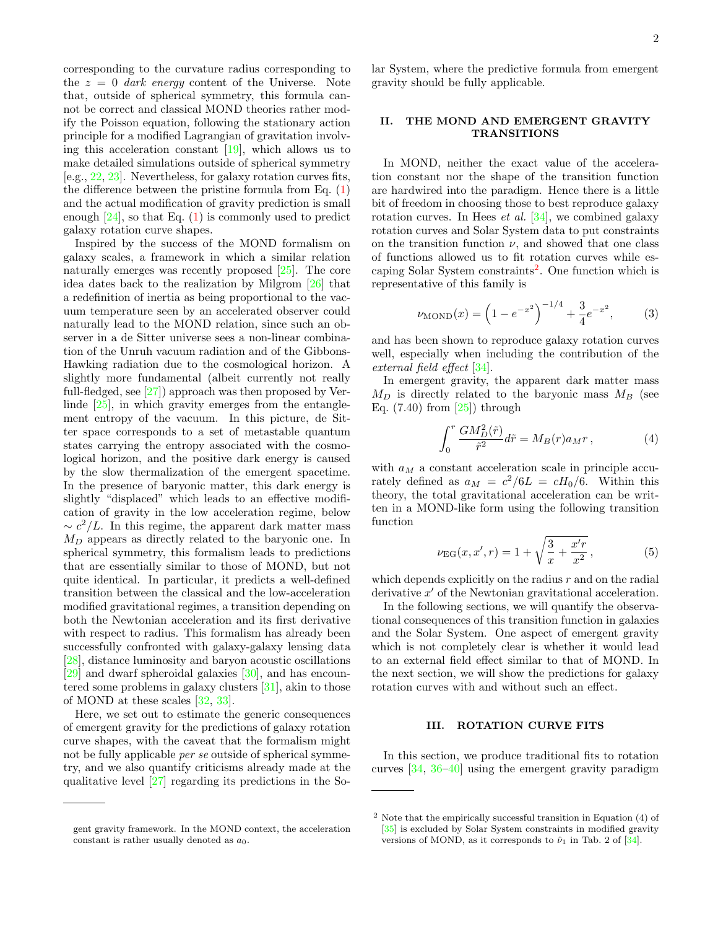corresponding to the curvature radius corresponding to the  $z = 0$  dark energy content of the Universe. Note that, outside of spherical symmetry, this formula cannot be correct and classical MOND theories rather modify the Poisson equation, following the stationary action principle for a modified Lagrangian of gravitation involving this acceleration constant  $[19]$ , which allows us to make detailed simulations outside of spherical symmetry [e.g., [22,](#page-8-17) [23\]](#page-8-18). Nevertheless, for galaxy rotation curves fits, the difference between the pristine formula from Eq.  $(1)$ and the actual modification of gravity prediction is small enough [\[24\]](#page-8-19), so that Eq. [\(1\)](#page-0-2) is commonly used to predict galaxy rotation curve shapes.

Inspired by the success of the MOND formalism on galaxy scales, a framework in which a similar relation naturally emerges was recently proposed [\[25\]](#page-8-20). The core idea dates back to the realization by Milgrom [\[26\]](#page-8-21) that a redefinition of inertia as being proportional to the vacuum temperature seen by an accelerated observer could naturally lead to the MOND relation, since such an observer in a de Sitter universe sees a non-linear combination of the Unruh vacuum radiation and of the Gibbons-Hawking radiation due to the cosmological horizon. A slightly more fundamental (albeit currently not really full-fledged, see [\[27\]](#page-8-22)) approach was then proposed by Verlinde [\[25\]](#page-8-20), in which gravity emerges from the entanglement entropy of the vacuum. In this picture, de Sitter space corresponds to a set of metastable quantum states carrying the entropy associated with the cosmological horizon, and the positive dark energy is caused by the slow thermalization of the emergent spacetime. In the presence of baryonic matter, this dark energy is slightly "displaced" which leads to an effective modification of gravity in the low acceleration regime, below  $\sim c^2/L$ . In this regime, the apparent dark matter mass  $M_D$  appears as directly related to the baryonic one. In spherical symmetry, this formalism leads to predictions that are essentially similar to those of MOND, but not quite identical. In particular, it predicts a well-defined transition between the classical and the low-acceleration modified gravitational regimes, a transition depending on both the Newtonian acceleration and its first derivative with respect to radius. This formalism has already been successfully confronted with galaxy-galaxy lensing data [\[28\]](#page-8-23), distance luminosity and baryon acoustic oscillations [\[29\]](#page-8-24) and dwarf spheroidal galaxies [\[30\]](#page-8-25), and has encountered some problems in galaxy clusters [\[31\]](#page-8-26), akin to those of MOND at these scales [\[32,](#page-8-27) [33\]](#page-8-28).

Here, we set out to estimate the generic consequences of emergent gravity for the predictions of galaxy rotation curve shapes, with the caveat that the formalism might not be fully applicable *per se* outside of spherical symmetry, and we also quantify criticisms already made at the qualitative level [\[27\]](#page-8-22) regarding its predictions in the Solar System, where the predictive formula from emergent gravity should be fully applicable.

## II. THE MOND AND EMERGENT GRAVITY TRANSITIONS

In MOND, neither the exact value of the acceleration constant nor the shape of the transition function are hardwired into the paradigm. Hence there is a little bit of freedom in choosing those to best reproduce galaxy rotation curves. In Hees *et al.*  $[34]$ , we combined galaxy rotation curves and Solar System data to put constraints on the transition function  $\nu$ , and showed that one class of functions allowed us to fit rotation curves while es-caping Solar System constraints<sup>[2](#page-1-0)</sup>. One function which is representative of this family is

<span id="page-1-2"></span>
$$
\nu_{\text{MOND}}(x) = \left(1 - e^{-x^2}\right)^{-1/4} + \frac{3}{4}e^{-x^2},\tag{3}
$$

and has been shown to reproduce galaxy rotation curves well, especially when including the contribution of the external field effect [\[34\]](#page-8-29).

In emergent gravity, the apparent dark matter mass  $M_D$  is directly related to the baryonic mass  $M_B$  (see Eq.  $(7.40)$  from  $[25]$  through

$$
\int_0^r \frac{GM_D^2(\tilde{r})}{\tilde{r}^2} d\tilde{r} = M_B(r) a_M r \,, \tag{4}
$$

with  $a_M$  a constant acceleration scale in principle accurately defined as  $a_M = c^2/6L = cH_0/6$ . Within this theory, the total gravitational acceleration can be written in a MOND-like form using the following transition function

<span id="page-1-1"></span>
$$
\nu_{\rm EG}(x, x', r) = 1 + \sqrt{\frac{3}{x} + \frac{x'r}{x^2}},\tag{5}
$$

which depends explicitly on the radius  $r$  and on the radial derivative  $x'$  of the Newtonian gravitational acceleration.

In the following sections, we will quantify the observational consequences of this transition function in galaxies and the Solar System. One aspect of emergent gravity which is not completely clear is whether it would lead to an external field effect similar to that of MOND. In the next section, we will show the predictions for galaxy rotation curves with and without such an effect.

# III. ROTATION CURVE FITS

In this section, we produce traditional fits to rotation curves [\[34,](#page-8-29) [36](#page-8-30)[–40\]](#page-8-31) using the emergent gravity paradigm

gent gravity framework. In the MOND context, the acceleration constant is rather usually denoted as  $a_0$ .

<span id="page-1-0"></span><sup>2</sup> Note that the empirically successful transition in Equation (4) of [\[35\]](#page-8-32) is excluded by Solar System constraints in modified gravity versions of MOND, as it corresponds to  $\hat{\nu}_1$  in Tab. 2 of [\[34\]](#page-8-29).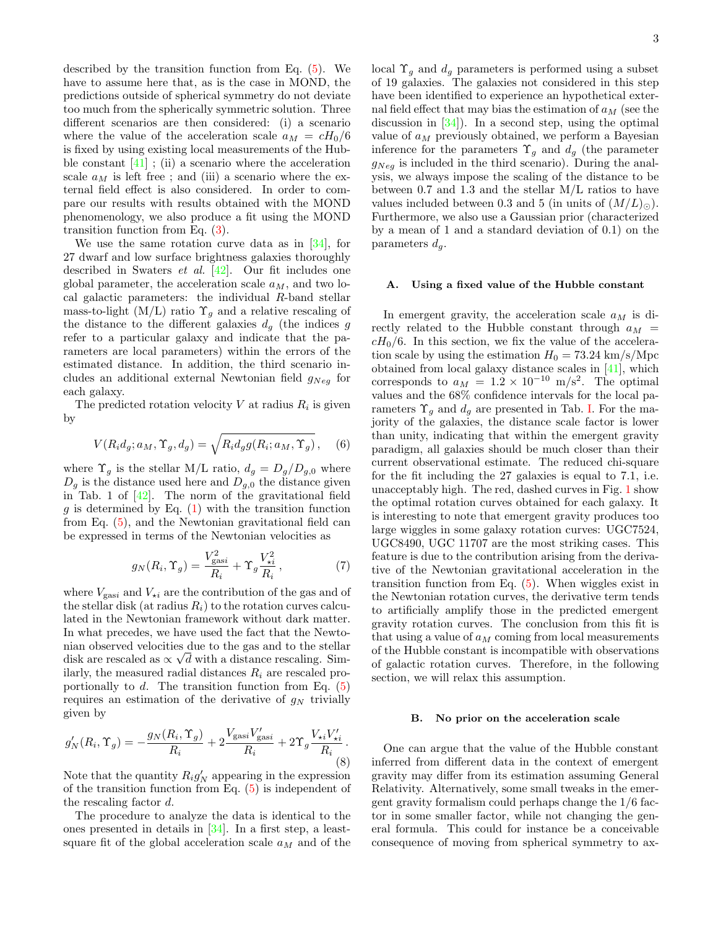described by the transition function from Eq. [\(5\)](#page-1-1). We have to assume here that, as is the case in MOND, the predictions outside of spherical symmetry do not deviate too much from the spherically symmetric solution. Three different scenarios are then considered: (i) a scenario where the value of the acceleration scale  $a_M = cH_0/6$ is fixed by using existing local measurements of the Hubble constant  $[41]$ ; (ii) a scenario where the acceleration scale  $a_M$  is left free; and (iii) a scenario where the external field effect is also considered. In order to compare our results with results obtained with the MOND phenomenology, we also produce a fit using the MOND transition function from Eq. [\(3\)](#page-1-2).

We use the same rotation curve data as in [\[34\]](#page-8-29), for 27 dwarf and low surface brightness galaxies thoroughly described in Swaters et al. [\[42\]](#page-8-34). Our fit includes one global parameter, the acceleration scale  $a_M$ , and two local galactic parameters: the individual R-band stellar mass-to-light (M/L) ratio  $\Upsilon_q$  and a relative rescaling of the distance to the different galaxies  $d_g$  (the indices g refer to a particular galaxy and indicate that the parameters are local parameters) within the errors of the estimated distance. In addition, the third scenario includes an additional external Newtonian field  $g_{Neg}$  for each galaxy.

The predicted rotation velocity  $V$  at radius  $R_i$  is given by

$$
V(R_i d_g; a_M, \Upsilon_g, d_g) = \sqrt{R_i d_g g(R_i; a_M, \Upsilon_g)}, \quad (6)
$$

where  $\Upsilon_g$  is the stellar M/L ratio,  $d_g = D_g/D_{g,0}$  where  $D_g$  is the distance used here and  $D_{g,0}$  the distance given in Tab. 1 of  $[42]$ . The norm of the gravitational field g is determined by Eq.  $(1)$  with the transition function from Eq. [\(5\)](#page-1-1), and the Newtonian gravitational field can be expressed in terms of the Newtonian velocities as

$$
g_N(R_i, \Upsilon_g) = \frac{V_{\text{gas}i}^2}{R_i} + \Upsilon_g \frac{V_{\star i}^2}{R_i},\tag{7}
$$

where  $V_{\text{gas}i}$  and  $V_{\star i}$  are the contribution of the gas and of the stellar disk (at radius  $R_i$ ) to the rotation curves calculated in the Newtonian framework without dark matter. In what precedes, we have used the fact that the Newtonian observed velocities due to the gas and to the stellar disk are rescaled as  $\propto \sqrt{d}$  with a distance rescaling. Similarly, the measured radial distances  $R_i$  are rescaled proportionally to  $d$ . The transition function from Eq.  $(5)$ requires an estimation of the derivative of  $g_N$  trivially given by

$$
g'_{N}(R_{i}, \Upsilon_{g}) = -\frac{g_{N}(R_{i}, \Upsilon_{g})}{R_{i}} + 2\frac{V_{\text{gas}i}V'_{\text{gas}i}}{R_{i}} + 2\Upsilon_{g}\frac{V_{\star i}V'_{\star i}}{R_{i}}.
$$
(8)

Note that the quantity  $R_i g'_N$  appearing in the expression of the transition function from Eq. [\(5\)](#page-1-1) is independent of the rescaling factor d.

The procedure to analyze the data is identical to the ones presented in details in [\[34\]](#page-8-29). In a first step, a leastsquare fit of the global acceleration scale  $a_M$  and of the local  $\Upsilon_g$  and  $d_g$  parameters is performed using a subset of 19 galaxies. The galaxies not considered in this step have been identified to experience an hypothetical external field effect that may bias the estimation of  $a_M$  (see the discussion in  $[34]$ . In a second step, using the optimal value of  $a_M$  previously obtained, we perform a Bayesian inference for the parameters  $\Upsilon_q$  and  $d_q$  (the parameter  $g_{Neg}$  is included in the third scenario). During the analysis, we always impose the scaling of the distance to be between 0.7 and 1.3 and the stellar M/L ratios to have values included between 0.3 and 5 (in units of  $(M/L)_{\odot}$ ). Furthermore, we also use a Gaussian prior (characterized by a mean of 1 and a standard deviation of 0.1) on the parameters  $d_q$ .

#### <span id="page-2-0"></span>A. Using a fixed value of the Hubble constant

In emergent gravity, the acceleration scale  $a_M$  is directly related to the Hubble constant through  $a_M$  =  $cH<sub>0</sub>/6$ . In this section, we fix the value of the acceleration scale by using the estimation  $H_0 = 73.24 \text{ km/s/Mpc}$ obtained from local galaxy distance scales in [\[41\]](#page-8-33), which corresponds to  $a_M = 1.2 \times 10^{-10}$  m/s<sup>2</sup>. The optimal values and the 68% confidence intervals for the local parameters  $\Upsilon_g$  and  $d_g$  are presented in Tab. [I.](#page-6-0) For the majority of the galaxies, the distance scale factor is lower than unity, indicating that within the emergent gravity paradigm, all galaxies should be much closer than their current observational estimate. The reduced chi-square for the fit including the 27 galaxies is equal to 7.1, i.e. unacceptably high. The red, dashed curves in Fig. [1](#page-3-0) show the optimal rotation curves obtained for each galaxy. It is interesting to note that emergent gravity produces too large wiggles in some galaxy rotation curves: UGC7524, UGC8490, UGC 11707 are the most striking cases. This feature is due to the contribution arising from the derivative of the Newtonian gravitational acceleration in the transition function from Eq. [\(5\)](#page-1-1). When wiggles exist in the Newtonian rotation curves, the derivative term tends to artificially amplify those in the predicted emergent gravity rotation curves. The conclusion from this fit is that using a value of  $a_M$  coming from local measurements of the Hubble constant is incompatible with observations of galactic rotation curves. Therefore, in the following section, we will relax this assumption.

#### <span id="page-2-1"></span>B. No prior on the acceleration scale

One can argue that the value of the Hubble constant inferred from different data in the context of emergent gravity may differ from its estimation assuming General Relativity. Alternatively, some small tweaks in the emergent gravity formalism could perhaps change the 1/6 factor in some smaller factor, while not changing the general formula. This could for instance be a conceivable consequence of moving from spherical symmetry to ax-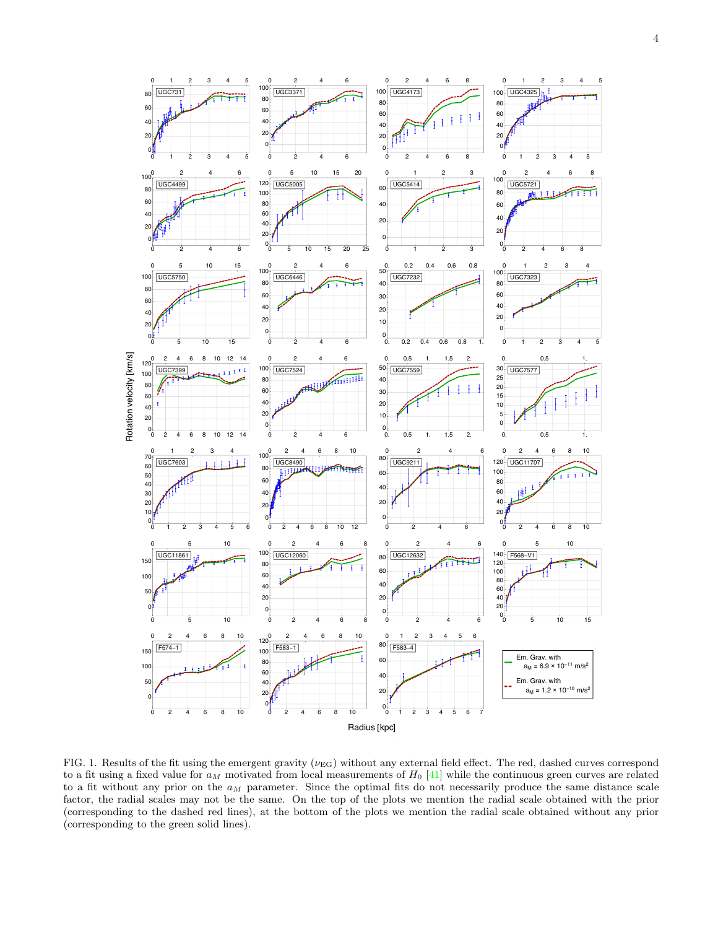

<span id="page-3-0"></span>FIG. 1. Results of the fit using the emergent gravity ( $\nu_{EG}$ ) without any external field effect. The red, dashed curves correspond to a fit using a fixed value for  $a_M$  motivated from local measurements of  $H_0$  [41] while the continuous green curves are related to a fit without any prior on the  $a_M$  parameter. Since the optimal fits do not necessarily produce the same distance scale factor, the radial scales may not be the same. On the top of the plots we mention the radial scale obtained with the prior (corresponding to the dashed red lines), at the bottom of the plots we mention the radial scale obtained without any prior (corresponding to the green solid lines).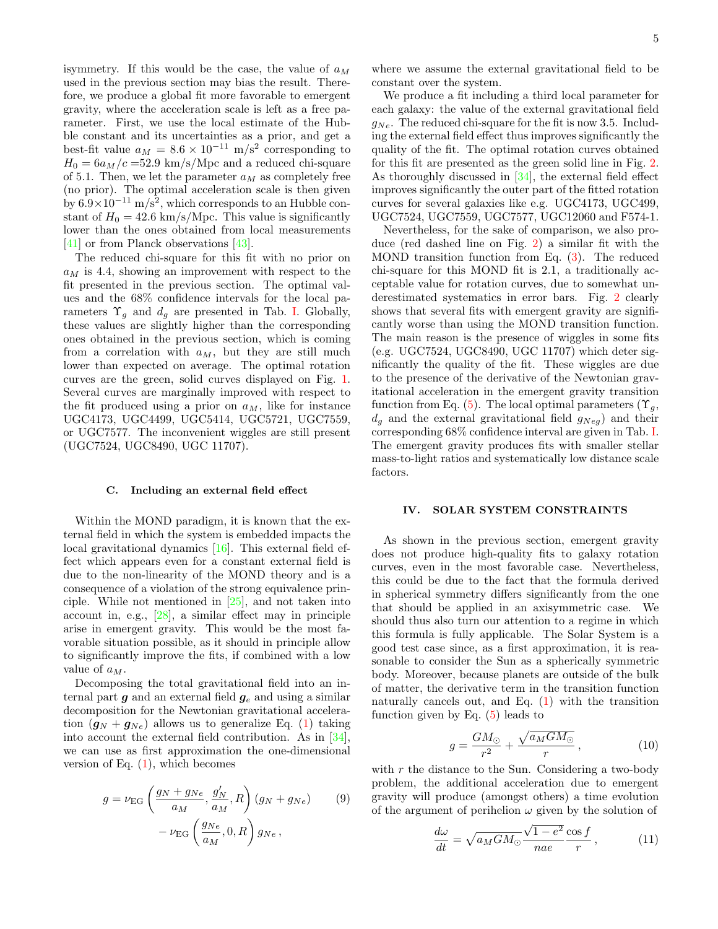isymmetry. If this would be the case, the value of  $a_M$ used in the previous section may bias the result. Therefore, we produce a global fit more favorable to emergent gravity, where the acceleration scale is left as a free parameter. First, we use the local estimate of the Hubble constant and its uncertainties as a prior, and get a best-fit value  $a_M = 8.6 \times 10^{-11}$  m/s<sup>2</sup> corresponding to  $H_0 = 6a_M/c = 52.9$  km/s/Mpc and a reduced chi-square of 5.1. Then, we let the parameter  $a_M$  as completely free (no prior). The optimal acceleration scale is then given by  $6.9 \times 10^{-11}$  m/s<sup>2</sup>, which corresponds to an Hubble constant of  $H_0 = 42.6 \text{ km/s/Mpc}$ . This value is significantly lower than the ones obtained from local measurements [\[41\]](#page-8-33) or from Planck observations [\[43\]](#page-8-35).

The reduced chi-square for this fit with no prior on  $a_M$  is 4.4, showing an improvement with respect to the fit presented in the previous section. The optimal values and the 68% confidence intervals for the local parameters  $\Upsilon_g$  and  $d_g$  are presented in Tab. [I.](#page-6-0) Globally, these values are slightly higher than the corresponding ones obtained in the previous section, which is coming from a correlation with  $a_M$ , but they are still much lower than expected on average. The optimal rotation curves are the green, solid curves displayed on Fig. [1.](#page-3-0) Several curves are marginally improved with respect to the fit produced using a prior on  $a_M$ , like for instance UGC4173, UGC4499, UGC5414, UGC5721, UGC7559, or UGC7577. The inconvenient wiggles are still present (UGC7524, UGC8490, UGC 11707).

#### <span id="page-4-0"></span>C. Including an external field effect

Within the MOND paradigm, it is known that the external field in which the system is embedded impacts the local gravitational dynamics [\[16\]](#page-8-11). This external field effect which appears even for a constant external field is due to the non-linearity of the MOND theory and is a consequence of a violation of the strong equivalence principle. While not mentioned in [\[25\]](#page-8-20), and not taken into account in, e.g., [\[28\]](#page-8-23), a similar effect may in principle arise in emergent gravity. This would be the most favorable situation possible, as it should in principle allow to significantly improve the fits, if combined with a low value of  $a_M$ .

Decomposing the total gravitational field into an internal part  $g$  and an external field  $g_e$  and using a similar decomposition for the Newtonian gravitational acceleration  $(g_N + g_{Ne})$  allows us to generalize Eq. [\(1\)](#page-0-2) taking into account the external field contribution. As in [\[34\]](#page-8-29), we can use as first approximation the one-dimensional version of Eq.  $(1)$ , which becomes

$$
g = \nu_{\text{EG}} \left( \frac{g_N + g_{Ne}}{a_M}, \frac{g'_N}{a_M}, R \right) (g_N + g_{Ne}) \qquad (9)
$$

$$
- \nu_{\text{EG}} \left( \frac{g_{Ne}}{a_M}, 0, R \right) g_{Ne} ,
$$

where we assume the external gravitational field to be constant over the system.

We produce a fit including a third local parameter for each galaxy: the value of the external gravitational field  $g_{Ne}$ . The reduced chi-square for the fit is now 3.5. Including the external field effect thus improves significantly the quality of the fit. The optimal rotation curves obtained for this fit are presented as the green solid line in Fig. [2.](#page-5-0) As thoroughly discussed in [\[34\]](#page-8-29), the external field effect improves significantly the outer part of the fitted rotation curves for several galaxies like e.g. UGC4173, UGC499, UGC7524, UGC7559, UGC7577, UGC12060 and F574-1.

Nevertheless, for the sake of comparison, we also produce (red dashed line on Fig. [2\)](#page-5-0) a similar fit with the MOND transition function from Eq. [\(3\)](#page-1-2). The reduced chi-square for this MOND fit is 2.1, a traditionally acceptable value for rotation curves, due to somewhat underestimated systematics in error bars. Fig. [2](#page-5-0) clearly shows that several fits with emergent gravity are significantly worse than using the MOND transition function. The main reason is the presence of wiggles in some fits (e.g. UGC7524, UGC8490, UGC 11707) which deter significantly the quality of the fit. These wiggles are due to the presence of the derivative of the Newtonian gravitational acceleration in the emergent gravity transition function from Eq. [\(5\)](#page-1-1). The local optimal parameters ( $\Upsilon_g$ ,  $d_g$  and the external gravitational field  $g_{Neg}$ ) and their corresponding 68% confidence interval are given in Tab. [I.](#page-6-0) The emergent gravity produces fits with smaller stellar mass-to-light ratios and systematically low distance scale factors.

### IV. SOLAR SYSTEM CONSTRAINTS

As shown in the previous section, emergent gravity does not produce high-quality fits to galaxy rotation curves, even in the most favorable case. Nevertheless, this could be due to the fact that the formula derived in spherical symmetry differs significantly from the one that should be applied in an axisymmetric case. We should thus also turn our attention to a regime in which this formula is fully applicable. The Solar System is a good test case since, as a first approximation, it is reasonable to consider the Sun as a spherically symmetric body. Moreover, because planets are outside of the bulk of matter, the derivative term in the transition function naturally cancels out, and Eq. [\(1\)](#page-0-2) with the transition function given by Eq.  $(5)$  leads to

$$
g = \frac{GM_{\odot}}{r^2} + \frac{\sqrt{a_M GM_{\odot}}}{r}, \qquad (10)
$$

with  $r$  the distance to the Sun. Considering a two-body problem, the additional acceleration due to emergent gravity will produce (amongst others) a time evolution of the argument of perihelion  $\omega$  given by the solution of

$$
\frac{d\omega}{dt} = \sqrt{a_M GM_\odot} \frac{\sqrt{1 - e^2}}{nae} \frac{\cos f}{r},\qquad(11)
$$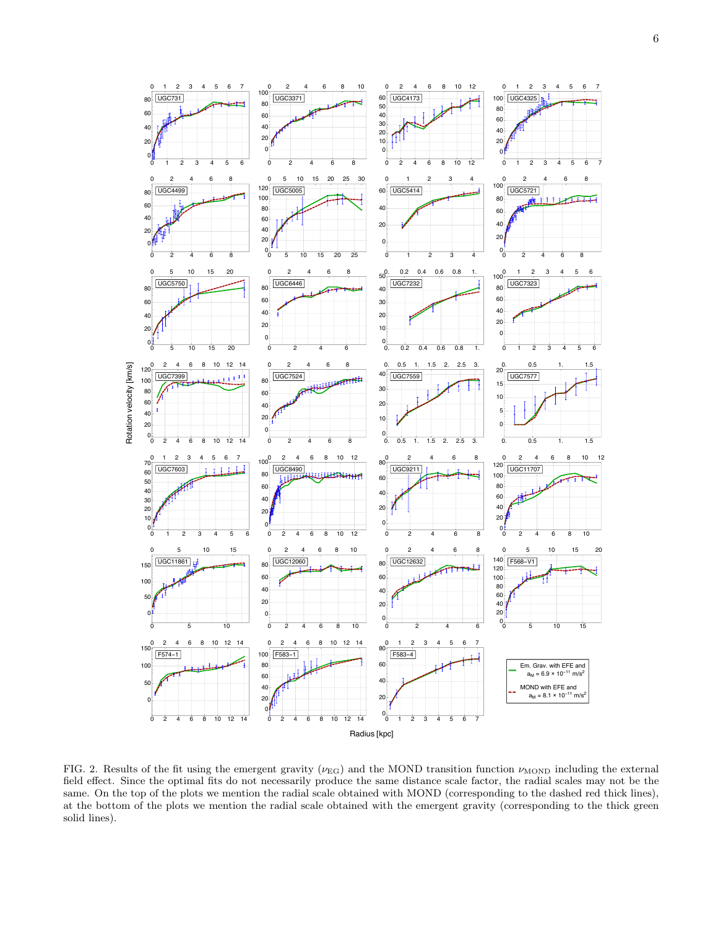

<span id="page-5-0"></span>FIG. 2. Results of the fit using the emergent gravity ( $\nu_{EG}$ ) and the MOND transition function  $\nu_{\text{MOND}}$  including the external field effect. Since the optimal fits do not necessarily produce the same distance scale factor, the radial scales may not be the same. On the top of the plots we mention the radial scale obtained with MOND (corresponding to the dashed red thick lines), at the bottom of the plots we mention the radial scale obtained with the emergent gravity (corresponding to the thick green solid lines).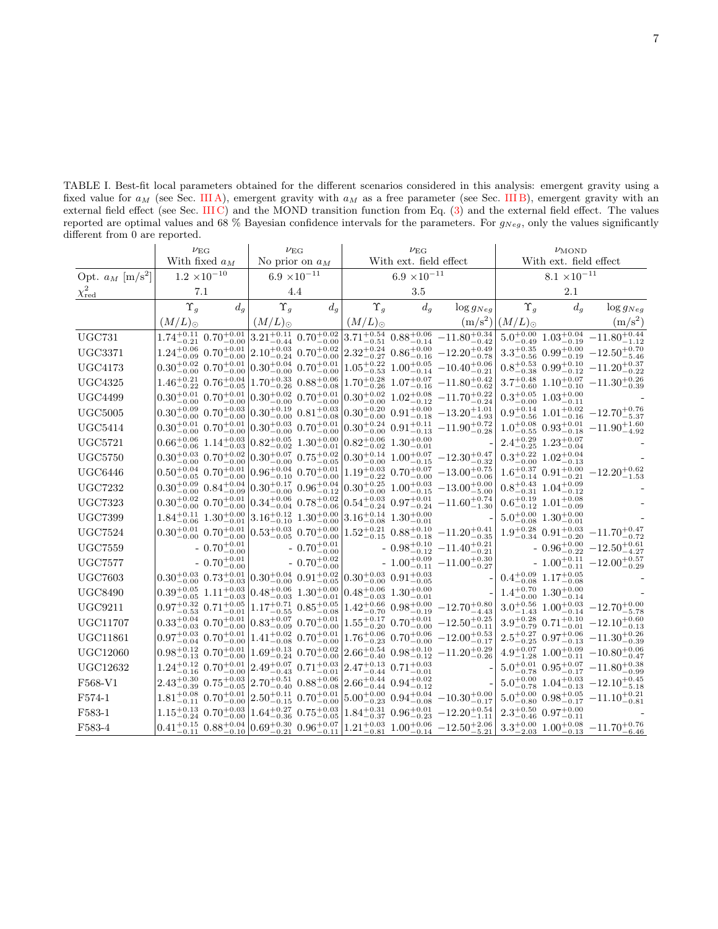<span id="page-6-0"></span>TABLE I. Best-fit local parameters obtained for the different scenarios considered in this analysis: emergent gravity using a fixed value for  $a_M$  (see Sec. [III A\)](#page-2-0), emergent gravity with  $a_M$  as a free parameter (see Sec. [III B\)](#page-2-1), emergent gravity with an external field effect (see Sec. [III C\)](#page-4-0) and the MOND transition function from Eq. [\(3\)](#page-1-2) and the external field effect. The values reported are optimal values and 68 % Bayesian confidence intervals for the parameters. For  $g_{Neg}$ , only the values significantly different from 0 are reported.

|                                | $\nu_{\mathrm{EG}}$   |                                                                   | $\nu_{\mathrm{EG}}$   |                                               | $\nu_{\mathrm{EG}}$                                                                                                                       |                                                                                             |                                                                                                                                                                          | $\nu_{\text{MOND}}$       |                                              |                                                                              |
|--------------------------------|-----------------------|-------------------------------------------------------------------|-----------------------|-----------------------------------------------|-------------------------------------------------------------------------------------------------------------------------------------------|---------------------------------------------------------------------------------------------|--------------------------------------------------------------------------------------------------------------------------------------------------------------------------|---------------------------|----------------------------------------------|------------------------------------------------------------------------------|
|                                | With fixed $a_M$      |                                                                   | No prior on $a_M$     |                                               | With ext. field effect                                                                                                                    |                                                                                             |                                                                                                                                                                          | With ext. field effect    |                                              |                                                                              |
| Opt. $a_M$ [m/s <sup>2</sup> ] | $1.2 \times 10^{-10}$ |                                                                   | $6.9 \times 10^{-11}$ |                                               | $6.9 \times 10^{-11}$                                                                                                                     |                                                                                             |                                                                                                                                                                          | $8.1 \times 10^{-11}$     |                                              |                                                                              |
| $\chi^2_\mathrm{red}$          | 7.1                   |                                                                   | 4.4                   |                                               | 3.5                                                                                                                                       |                                                                                             |                                                                                                                                                                          | 2.1                       |                                              |                                                                              |
|                                | $\Upsilon_q$          | $d_{g}$                                                           | $\Upsilon_q$          | $d_q$                                         | $\Upsilon_q$                                                                                                                              | $d_g$                                                                                       | $\log g_{Neg}$                                                                                                                                                           | $\Upsilon_q$              | $d_g$                                        | $\log g_{Neg}$                                                               |
|                                | $(M/L)_{\odot}$       |                                                                   | $(M/L)_{\odot}$       |                                               | $(M/L)_{\odot}$                                                                                                                           |                                                                                             |                                                                                                                                                                          | $(m/s^2)   (M/L)_{\odot}$ |                                              | $(m/s^2)$                                                                    |
| <b>UGC731</b>                  |                       |                                                                   |                       |                                               |                                                                                                                                           |                                                                                             | $1.74_{-0.21}^{+0.11}$ $0.70_{-0.00}^{+0.01}$ $3.21_{-0.44}^{+0.11}$ $0.70_{-0.00}^{+0.02}$ $3.71_{-0.51}^{+0.54}$ $0.88_{-0.14}^{+0.06}$ $-11.80_{-0.42}^{+0.34}$       |                           |                                              | $5.0^{+0.00}_{-0.49}$ $1.03^{+0.04}_{-0.19}$ $-11.80^{+0.44}_{-1.12}$        |
| <b>UGC3371</b>                 |                       | $1.24^{+0.06}_{-0.09}$ $0.70^{+0.01}_{-0.00}$                     |                       |                                               |                                                                                                                                           |                                                                                             | $\left. 2.10_{-0.24}^{+0.03} \right. 0.70_{-0.00}^{+0.02} \left. \right  2.32_{-0.27}^{+0.24} \left. 0.86_{-0.16}^{+0.00} \right. - 12.20_{-0.78}^{+0.49}$               |                           |                                              | $3.3^{+0.35}_{-0.56}$ $0.99^{+0.00}_{-0.19}$ $-12.50^{+0.70}_{-5.46}$        |
| <b>UGC4173</b>                 |                       | $0.30^{+0.02}_{-0.00}$ $0.70^{+0.01}_{-0.00}$                     |                       | $0.30^{+0.04}_{-0.00}$ $0.70^{+0.01}_{-0.00}$ |                                                                                                                                           | $1.05^{+0.22}_{-0.53}$ $1.00^{+0.05}_{-0.14}$                                               | $-10.40^{+0.06}_{-0.21}$                                                                                                                                                 |                           |                                              | $0.8^{+0.53}_{-0.38}\ 0.99^{+0.10}_{-0.12}\ -11.20^{+0.37}_{-0.22}$          |
| <b>UGC4325</b>                 |                       | $1.46^{+0.21}_{-0.22}$ $0.76^{+0.04}_{-0.05}$                     |                       | $1.70^{+0.33}_{-0.26}$ $0.88^{+0.06}_{-0.08}$ |                                                                                                                                           |                                                                                             | $1.70^{+0.28}_{-0.26}$ $1.07^{+0.07}_{-0.16}$ $-11.80^{+0.42}_{-0.62}$                                                                                                   |                           |                                              | $3.7^{+0.48}_{-0.60} \,\, 1.10^{+0.07}_{-0.10} \,\, - 11.30^{+0.26}_{-0.39}$ |
| <b>UGC4499</b>                 |                       | $0.30 \substack{+0.01 \\ -0.00}$ $0.70 \substack{+0.01 \\ -0.00}$ |                       |                                               |                                                                                                                                           |                                                                                             | $0.30_{-0.00}^{+0.02}$ $0.70_{-0.00}^{+0.01}$ $0.30_{-0.00}^{+0.02}$ $1.02_{-0.12}^{+0.08}$ $-11.70_{-0.24}^{+0.22}$                                                     |                           | $0.3^{+0.05}_{-0.00}$ $1.03^{+0.00}_{-0.11}$ |                                                                              |
| <b>UGC5005</b>                 |                       | $0.30^{+0.09}_{-0.00}$ $0.70^{+0.03}_{-0.00}$                     |                       |                                               |                                                                                                                                           |                                                                                             | $0.30_{-0.00}^{+0.19}$ $0.81_{-0.08}^{+0.03}$ $0.30_{-0.00}^{+0.20}$ $0.91_{-0.18}^{+0.00}$ $-13.20_{-4.93}^{+1.01}$                                                     |                           |                                              | $0.9^{+0.14}_{-0.56}$ $1.01^{+0.02}_{-0.16}$ $-12.70^{+0.76}_{-5.37}$        |
| <b>UGC5414</b>                 |                       | $0.30^{+0.01}_{-0.00}$ $0.70^{+0.01}_{-0.00}$                     |                       | $0.30^{+0.03}_{-0.00}$ $0.70^{+0.01}_{-0.00}$ |                                                                                                                                           |                                                                                             | $\left[0.30^{+0.24}_{-0.00} \right. 0.91^{+0.11}_{-0.13} - 11.90^{+0.72}_{-0.28}$                                                                                        |                           |                                              | $1.0^{+0.08}_{-0.55}$ $0.93^{+0.01}_{-0.18}$ $-11.90^{+1.60}_{-4.92}$        |
| <b>UGC5721</b>                 |                       | $0.66_{-0.06}^{+0.06}$ $1.14_{-0.03}^{+0.03}$                     |                       |                                               | $0.82^{+0.05}_{-0.02}$ $1.30^{+0.00}_{-0.01}$ $0.82^{+0.06}_{-0.02}$ $1.30^{+0.00}_{-0.01}$                                               |                                                                                             |                                                                                                                                                                          |                           | $2.4^{+0.29}_{-0.25}$ $1.23^{+0.07}_{-0.04}$ |                                                                              |
| <b>UGC5750</b>                 |                       | $0.30^{+0.03}_{-0.00}$ $0.70^{+0.02}_{-0.00}$                     |                       |                                               |                                                                                                                                           |                                                                                             | $\left  0.30^{+0.07}_{-0.00} \right. \left. 0.75^{+0.02}_{-0.05} \right  0.30^{+0.14}_{-0.00} \left. 1.00^{+0.07}_{-0.15} \right. \left. -12.30^{+0.47}_{-0.32} \right $ |                           | $0.3^{+0.22}_{-0.00}$ $1.02^{+0.04}_{-0.13}$ |                                                                              |
| <b>UGC6446</b>                 |                       | $0.50^{+0.04}_{-0.05}$ $0.70^{+0.01}_{-0.00}$                     |                       |                                               |                                                                                                                                           | $0.96_{-0.10}^{+0.04}$ $0.70_{-0.00}^{+0.01}$ $1.19_{-0.22}^{+0.03}$ $0.70_{-0.00}^{+0.07}$ | $-13.00^{+0.75}_{-0.06}$                                                                                                                                                 |                           | $1.6^{+0.37}_{-0.14}$ $0.91^{+0.00}_{-0.21}$ | $-12.20^{+0.62}_{-1.53}$                                                     |
| <b>UGC7232</b>                 |                       | $0.30^{+0.09}_{-0.00}$ $0.84^{+0.04}_{-0.09}$                     |                       |                                               |                                                                                                                                           |                                                                                             | $\left  0.30_{-0.00}^{+0.17} \right  0.96_{-0.12}^{+0.04} \left  0.30_{-0.00}^{+0.25} \right  1.00_{-0.15}^{+0.03} - 13.00_{-5.00}^{+0.00}$                              |                           | $0.8^{+0.43}_{-0.31}$ $1.04^{+0.09}_{-0.12}$ |                                                                              |
| <b>UGC7323</b>                 |                       | $0.30^{+0.02}_{-0.00}$ $0.70^{+0.01}_{-0.00}$                     |                       |                                               |                                                                                                                                           | $0.34_{-0.04}^{+0.06}$ $0.78_{-0.06}^{+0.02}$ $0.54_{-0.24}^{+0.03}$ $0.97_{-0.24}^{+0.01}$ | $-11.60^{+0.74}_{-1.30}$                                                                                                                                                 |                           | $0.6^{+0.19}_{-0.12}$ $1.01^{+0.08}_{-0.09}$ |                                                                              |
| <b>UGC7399</b>                 |                       | $1.84^{+0.11}_{-0.06}$ $1.30^{+0.00}_{-0.01}$                     |                       |                                               | $3.16_{-0.10}^{+0.12}$ $1.30_{-0.00}^{+0.00}$ $3.16_{-0.08}^{+0.14}$ $1.30_{-0.01}^{+0.00}$                                               |                                                                                             |                                                                                                                                                                          |                           | $5.0^{+0.00}_{-0.08}$ $1.30^{+0.00}_{-0.01}$ |                                                                              |
| <b>UGC7524</b>                 |                       | $0.30^{+0.01}_{-0.00}$ $0.70^{+0.01}_{-0.00}$                     |                       |                                               |                                                                                                                                           | $0.53_{-0.05}^{+0.03}$ $0.70_{-0.00}^{+0.00}$ $1.52_{-0.15}^{+0.21}$ $0.88_{-0.18}^{+0.10}$ | $-11.20\substack{+0.41 \\ -0.35}$                                                                                                                                        |                           | $1.9^{+0.28}_{-0.34}$ $0.91^{+0.03}_{-0.20}$ | $-11.70^{+0.47}_{-0.72}$                                                     |
| <b>UGC7559</b>                 |                       | - $0.70\substack{+0.01 \\ -0.00}$                                 |                       | $-0.70^{+0.01}_{-0.00}$                       |                                                                                                                                           |                                                                                             | - $0.98^{+0.10}_{-0.12}$ -11.40 <sup>+0.21</sup>                                                                                                                         |                           |                                              | $-0.96^{+0.00}_{-0.22}$ $-12.50^{+0.61}_{-4.27}$                             |
| <b>UGC7577</b>                 |                       | - $0.70\substack{+0.01\\-0.00}$                                   |                       | $-0.70^{+0.02}_{-0.00}$                       |                                                                                                                                           |                                                                                             | - $1.00^{+0.09}_{-0.11}$ $-11.00^{+0.30}_{-0.27}$                                                                                                                        |                           |                                              | - $1.00^{+0.11}_{-0.11}$ $-12.00^{+0.57}_{-0.29}\,$                          |
| <b>UGC7603</b>                 |                       |                                                                   |                       |                                               | $0.30^{+0.03}_{-0.00}$ $0.73^{+0.01}_{-0.03}$ $0.30^{+0.04}_{-0.00}$ $0.91^{+0.02}_{-0.05}$ $0.30^{+0.03}_{-0.00}$ $0.91^{+0.03}_{-0.05}$ |                                                                                             |                                                                                                                                                                          |                           | $0.4^{+0.09}_{-0.08}$ $1.17^{+0.05}_{-0.08}$ |                                                                              |
| <b>UGC8490</b>                 |                       | $0.39^{+0.05}_{-0.05}$ $1.11^{+0.03}_{-0.03}$                     |                       |                                               | $\left.0.48_{-0.03}^{+0.06} \right  1.30_{-0.01}^{+0.00} \left  0.48_{-0.03}^{+0.06} \right  1.30_{-0.01}^{+0.00}$                        |                                                                                             |                                                                                                                                                                          |                           | $1.4^{+0.70}_{-0.00}$ $1.30^{+0.00}_{-0.14}$ |                                                                              |
| <b>UGC9211</b>                 |                       | $0.97^{+0.32}_{-0.53}$ $0.71^{+0.05}_{-0.01}$                     |                       |                                               |                                                                                                                                           |                                                                                             | $1.17^{+0.71}_{-0.55}$ $0.85^{+0.05}_{-0.08}$ $1.42^{+0.66}_{-0.70}$ $0.98^{+0.00}_{-0.19}$ $-12.70^{+0.80}_{-4.43}$                                                     |                           |                                              | $3.0^{+0.56}_{-1.43}$ $1.00^{+0.03}_{-0.14}$ $-12.70^{+0.00}_{-5.78}\,$      |
| <b>UGC11707</b>                |                       | $0.33^{+0.04}_{-0.03}$ $0.70^{+0.01}_{-0.00}$                     |                       |                                               |                                                                                                                                           |                                                                                             | $\left.0.83_{-0.09}^{+0.07} \right. 0.70_{-0.00}^{+0.01} \left. \right  1.55_{-0.20}^{+0.17} \left. 0.70_{-0.00}^{+0.01} \right. - 12.50_{-0.11}^{+0.25}$                |                           |                                              | $3.9^{+0.28}_{-0.79} \,\, 0.71^{+0.10}_{-0.01} \,\, - 12.10^{+0.60}_{-0.13}$ |
| <b>UGC11861</b>                |                       | $0.97 \substack{+0.03 \\ -0.04}$ $0.70 \substack{+0.01 \\ -0.00}$ |                       |                                               |                                                                                                                                           | $1.41^{+0.02}_{-0.08}$ $0.70^{+0.01}_{-0.00}$ $1.76^{+0.06}_{-0.23}$ $0.70^{+0.06}_{-0.00}$ | $-12.00^{+0.53}_{-0.17}$                                                                                                                                                 |                           |                                              | $2.5^{+0.27}_{-0.25}$ $0.97^{+0.06}_{-0.13}$ $-11.30^{+0.26}_{-0.39}$        |
| <b>UGC12060</b>                |                       | $0.98^{+0.12}_{-0.13}$ $0.70^{+0.01}_{-0.00}$                     |                       |                                               |                                                                                                                                           |                                                                                             | $1.69^{+0.13}_{-0.24}$ $0.70^{+0.02}_{-0.00}$ $2.66^{+0.54}_{-0.40}$ $0.98^{+0.10}_{-0.12}$ $-11.20^{+0.29}_{-0.26}$                                                     |                           |                                              | $4.9^{+0.07}_{-1.28}$ $1.00^{+0.09}_{-0.11}$ $-10.80^{+0.06}_{-0.47}$        |
| <b>UGC12632</b>                |                       |                                                                   |                       |                                               | $1.24^{+0.12}_{-0.16}$ $0.70^{+0.01}_{-0.00}$ $2.49^{+0.07}_{-0.43}$ $0.71^{+0.03}_{-0.01}$ $2.47^{+0.13}_{-0.44}$ $0.71^{+0.03}_{-0.01}$ |                                                                                             |                                                                                                                                                                          |                           |                                              | $5.0^{+0.01}_{-0.78}$ $0.95^{+0.07}_{-0.17}$ $-11.80^{+0.38}_{-0.99}$        |
| F568-V1                        |                       | $2.43_{-0.39}^{+0.30}$ $0.75_{-0.05}^{+0.03}$                     |                       |                                               | $\left 2.70_{-0.40}^{+0.51}$ $0.88_{-0.08}^{+0.06}\right 2.66_{-0.44}^{+0.44}$ $0.94_{-0.12}^{+0.02}$                                     |                                                                                             |                                                                                                                                                                          |                           |                                              | $5.0^{+0.00}_{-0.78}$ $1.04^{+0.03}_{-0.13}$ $-12.10^{+0.45}_{-5.18}$        |
| F574-1                         |                       | $1.81^{+0.08}_{-0.11}$ $0.70^{+0.01}_{-0.00}$                     |                       |                                               |                                                                                                                                           | $2.50^{+0.11}_{-0.15}$ $0.70^{+0.01}_{-0.00}$ $5.00^{+0.00}_{-0.23}$ $0.94^{+0.04}_{-0.08}$ | $-10.30_{-0.17}^{+0.00}$                                                                                                                                                 | $5.0^{+0.00}_{-0.80}$     | $0.98 \substack{+0.05 \\ -0.17}$             | $-11.10^{+0.21}_{-0.81}$                                                     |
| F583-1                         |                       | $1.15^{+0.13}_{-0.24}$ $0.70^{+0.03}_{-0.00}$                     |                       |                                               |                                                                                                                                           |                                                                                             | $\left 1.64^{+0.27}_{-0.36} \right. 0.75^{+0.03}_{-0.05} \left 1.84^{+0.31}_{-0.37} \right. 0.96^{+0.01}_{-0.23} - 12.20^{+0.54}_{-1.11}$                                |                           | $2.3^{+0.50}_{-0.46}$ $0.97^{+0.00}_{-0.11}$ |                                                                              |
| F583-4                         |                       | $0.41^{+0.15}_{-0.11}$ $0.88^{+0.04}_{-0.10}$                     |                       |                                               |                                                                                                                                           |                                                                                             | $0.69_{-0.21}^{+0.30}$ $0.96_{-0.11}^{+0.07}$ $1.21_{-0.81}^{+0.03}$ $1.00_{-0.14}^{+0.06}$ $-12.50_{-5.21}^{+2.06}$                                                     |                           |                                              | $3.3^{+0.00}_{-2.03}$ $1.00^{+0.08}_{-0.13}$ $-11.70^{+0.76}_{-6.46}$        |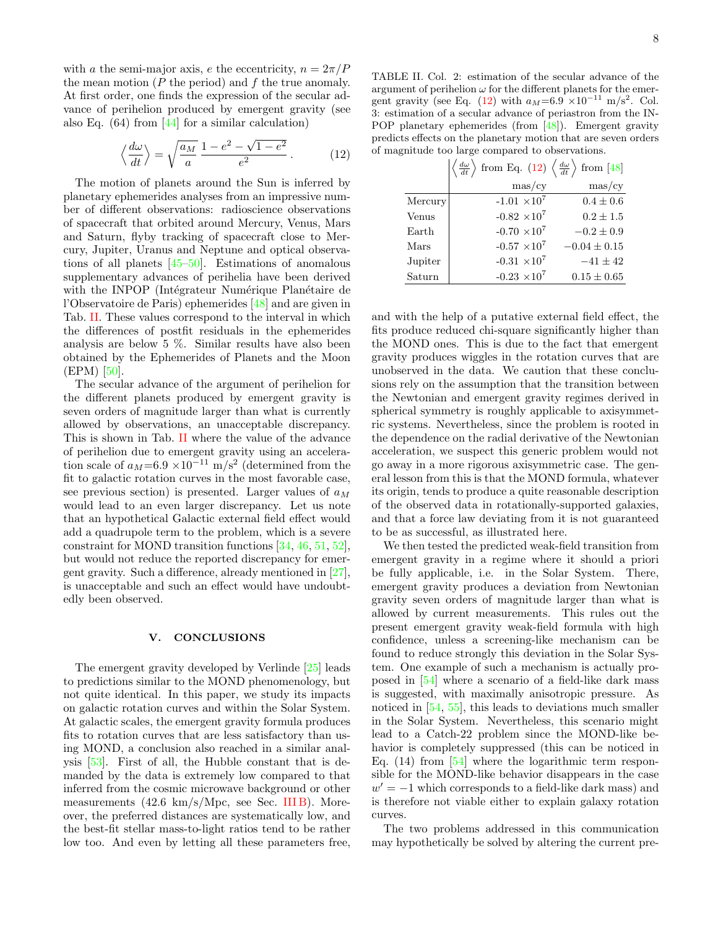with a the semi-major axis, e the eccentricity,  $n = 2\pi/P$ the mean motion  $(P \t{ the period})$  and  $f \t{ the true anomaly}$ . At first order, one finds the expression of the secular advance of perihelion produced by emergent gravity (see also Eq.  $(64)$  from [\[44\]](#page-8-36) for a similar calculation)

<span id="page-7-1"></span>
$$
\left\langle \frac{d\omega}{dt} \right\rangle = \sqrt{\frac{a_M}{a}} \frac{1 - e^2 - \sqrt{1 - e^2}}{e^2} . \tag{12}
$$

The motion of planets around the Sun is inferred by planetary ephemerides analyses from an impressive number of different observations: radioscience observations of spacecraft that orbited around Mercury, Venus, Mars and Saturn, flyby tracking of spacecraft close to Mercury, Jupiter, Uranus and Neptune and optical observations of all planets [\[45–](#page-8-37)[50\]](#page-9-0). Estimations of anomalous supplementary advances of perihelia have been derived with the INPOP (Intégrateur Numérique Planétaire de l'Observatoire de Paris) ephemerides [\[48\]](#page-9-1) and are given in Tab. [II.](#page-7-0) These values correspond to the interval in which the differences of postfit residuals in the ephemerides analysis are below 5 %. Similar results have also been obtained by the Ephemerides of Planets and the Moon (EPM) [\[50\]](#page-9-0).

The secular advance of the argument of perihelion for the different planets produced by emergent gravity is seven orders of magnitude larger than what is currently allowed by observations, an unacceptable discrepancy. This is shown in Tab. [II](#page-7-0) where the value of the advance of perihelion due to emergent gravity using an acceleration scale of  $a_M$ =6.9 ×10<sup>-11</sup> m/s<sup>2</sup> (determined from the fit to galactic rotation curves in the most favorable case, see previous section) is presented. Larger values of  $a_M$ would lead to an even larger discrepancy. Let us note that an hypothetical Galactic external field effect would add a quadrupole term to the problem, which is a severe constraint for MOND transition functions [\[34,](#page-8-29) [46,](#page-9-2) [51,](#page-9-3) [52\]](#page-9-4), but would not reduce the reported discrepancy for emergent gravity. Such a difference, already mentioned in [\[27\]](#page-8-22), is unacceptable and such an effect would have undoubtedly been observed.

## V. CONCLUSIONS

The emergent gravity developed by Verlinde [\[25\]](#page-8-20) leads to predictions similar to the MOND phenomenology, but not quite identical. In this paper, we study its impacts on galactic rotation curves and within the Solar System. At galactic scales, the emergent gravity formula produces fits to rotation curves that are less satisfactory than using MOND, a conclusion also reached in a similar analysis [\[53\]](#page-9-5). First of all, the Hubble constant that is demanded by the data is extremely low compared to that inferred from the cosmic microwave background or other measurements  $(42.6 \text{ km/s/Mpc}, \text{see} \text{Sec. III B})$ . Moreover, the preferred distances are systematically low, and the best-fit stellar mass-to-light ratios tend to be rather low too. And even by letting all these parameters free,

<span id="page-7-0"></span>TABLE II. Col. 2: estimation of the secular advance of the argument of perihelion  $\omega$  for the different planets for the emer-gent gravity (see Eq. [\(12\)](#page-7-1) with  $a_M=6.9 \times 10^{-11} \text{ m/s}^2$ . Col. 3: estimation of a secular advance of periastron from the IN-POP planetary ephemerides (from [\[48\]](#page-9-1)). Emergent gravity predicts effects on the planetary motion that are seven orders of magnitude too large compared to observations.

|         | $\left \left\langle \frac{d\omega}{dt} \right\rangle$ from Eq. (12) $\left\langle \frac{d\omega}{dt} \right\rangle$ from [48] |                  |
|---------|-------------------------------------------------------------------------------------------------------------------------------|------------------|
|         | $\text{mas/cy}$                                                                                                               | $\text{mas/cy}$  |
| Mercury | $-1.01 \times 10^7$                                                                                                           | $0.4 \pm 0.6$    |
| Venus   | $-0.82 \times 10^7$                                                                                                           | $0.2 \pm 1.5$    |
| Earth   | $-0.70 \times 10^7$                                                                                                           | $-0.2 \pm 0.9$   |
| Mars    | $-0.57 \times 10^{7}$                                                                                                         | $-0.04 \pm 0.15$ |
| Jupiter | $-0.31 \times 10^7$                                                                                                           | $-41 \pm 42$     |
| Saturn  | $-0.23 \times 10^7$                                                                                                           | $0.15 \pm 0.65$  |

and with the help of a putative external field effect, the fits produce reduced chi-square significantly higher than the MOND ones. This is due to the fact that emergent gravity produces wiggles in the rotation curves that are unobserved in the data. We caution that these conclusions rely on the assumption that the transition between the Newtonian and emergent gravity regimes derived in spherical symmetry is roughly applicable to axisymmetric systems. Nevertheless, since the problem is rooted in the dependence on the radial derivative of the Newtonian acceleration, we suspect this generic problem would not go away in a more rigorous axisymmetric case. The general lesson from this is that the MOND formula, whatever its origin, tends to produce a quite reasonable description of the observed data in rotationally-supported galaxies, and that a force law deviating from it is not guaranteed to be as successful, as illustrated here.

We then tested the predicted weak-field transition from emergent gravity in a regime where it should a priori be fully applicable, i.e. in the Solar System. There, emergent gravity produces a deviation from Newtonian gravity seven orders of magnitude larger than what is allowed by current measurements. This rules out the present emergent gravity weak-field formula with high confidence, unless a screening-like mechanism can be found to reduce strongly this deviation in the Solar System. One example of such a mechanism is actually proposed in [\[54\]](#page-9-6) where a scenario of a field-like dark mass is suggested, with maximally anisotropic pressure. As noticed in [\[54,](#page-9-6) [55\]](#page-9-7), this leads to deviations much smaller in the Solar System. Nevertheless, this scenario might lead to a Catch-22 problem since the MOND-like behavior is completely suppressed (this can be noticed in Eq.  $(14)$  from [\[54\]](#page-9-6) where the logarithmic term responsible for the MOND-like behavior disappears in the case  $w' = -1$  which corresponds to a field-like dark mass) and is therefore not viable either to explain galaxy rotation curves.

The two problems addressed in this communication may hypothetically be solved by altering the current pre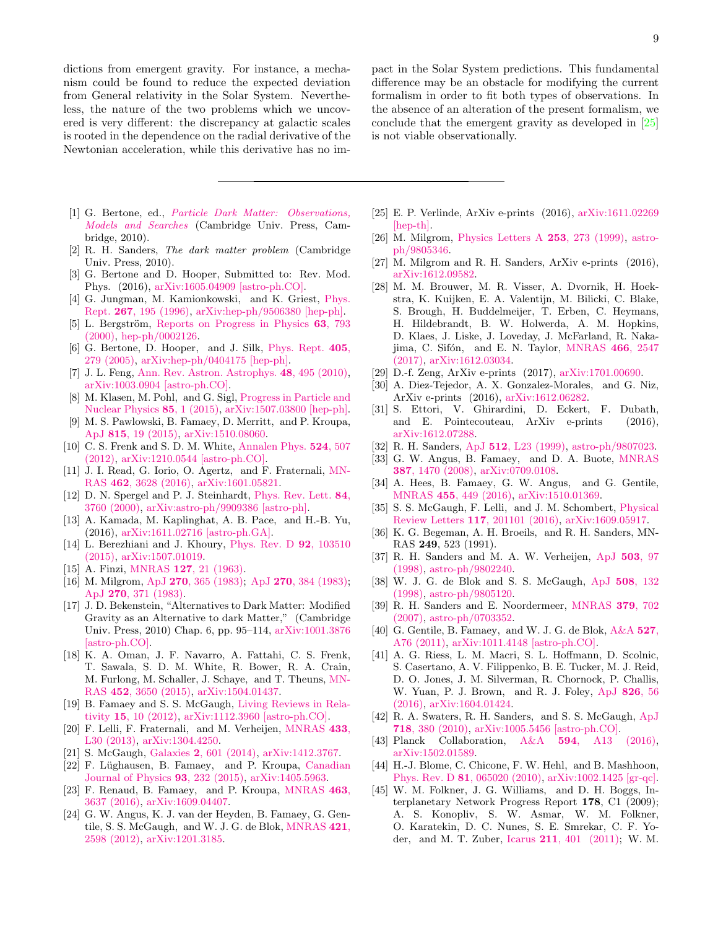dictions from emergent gravity. For instance, a mechanism could be found to reduce the expected deviation from General relativity in the Solar System. Nevertheless, the nature of the two problems which we uncovered is very different: the discrepancy at galactic scales is rooted in the dependence on the radial derivative of the Newtonian acceleration, while this derivative has no im-

- <span id="page-8-0"></span>[1] G. Bertone, ed., *Particle Dark Matter: Observations*, [Models and Searches](http://dx.doi.org/10.1017/CBO9780511770739) (Cambridge Univ. Press, Cambridge, 2010).
- [2] R. H. Sanders, The dark matter problem (Cambridge Univ. Press, 2010).
- <span id="page-8-1"></span>[3] G. Bertone and D. Hooper, Submitted to: Rev. Mod. Phys. (2016), [arXiv:1605.04909 \[astro-ph.CO\].](http://arxiv.org/abs/1605.04909)
- <span id="page-8-2"></span>[4] G. Jungman, M. Kamionkowski, and K. Griest, [Phys.](http://dx.doi.org/10.1016/0370-1573(95)00058-5) Rept. 267[, 195 \(1996\),](http://dx.doi.org/10.1016/0370-1573(95)00058-5) [arXiv:hep-ph/9506380 \[hep-ph\].](http://arxiv.org/abs/hep-ph/9506380)
- [5] L. Bergström, [Reports on Progress in Physics](http://dx.doi.org/10.1088/0034-4885/63/5/2r3) 63, 793 [\(2000\),](http://dx.doi.org/10.1088/0034-4885/63/5/2r3) [hep-ph/0002126.](http://arxiv.org/abs/hep-ph/0002126)
- [6] G. Bertone, D. Hooper, and J. Silk, [Phys. Rept.](http://dx.doi.org/10.1016/j.physrep.2004.08.031) 405, [279 \(2005\),](http://dx.doi.org/10.1016/j.physrep.2004.08.031) [arXiv:hep-ph/0404175 \[hep-ph\].](http://arxiv.org/abs/hep-ph/0404175)
- [7] J. L. Feng, [Ann. Rev. Astron. Astrophys.](http://dx.doi.org/10.1146/annurev-astro-082708-101659) 48, 495 (2010), [arXiv:1003.0904 \[astro-ph.CO\].](http://arxiv.org/abs/1003.0904)
- <span id="page-8-3"></span>[8] M. Klasen, M. Pohl, and G. Sigl, [Progress in Particle and](http://dx.doi.org/10.1016/j.ppnp.2015.07.001) [Nuclear Physics](http://dx.doi.org/10.1016/j.ppnp.2015.07.001) 85, 1 (2015), [arXiv:1507.03800 \[hep-ph\].](http://arxiv.org/abs/1507.03800)
- <span id="page-8-4"></span>[9] M. S. Pawlowski, B. Famaey, D. Merritt, and P. Kroupa, ApJ 815[, 19 \(2015\),](http://dx.doi.org/10.1088/0004-637X/815/1/19) [arXiv:1510.08060.](http://arxiv.org/abs/1510.08060)
- <span id="page-8-5"></span>[10] C. S. Frenk and S. D. M. White, [Annalen Phys.](http://dx.doi.org/10.1002/andp.201200212) 524, 507 [\(2012\),](http://dx.doi.org/10.1002/andp.201200212) [arXiv:1210.0544 \[astro-ph.CO\].](http://arxiv.org/abs/1210.0544)
- <span id="page-8-6"></span>[11] J. I. Read, G. Iorio, O. Agertz, and F. Fraternali, [MN-](http://dx.doi.org/10.1093/mnras/stw1876)RAS 462[, 3628 \(2016\),](http://dx.doi.org/10.1093/mnras/stw1876) [arXiv:1601.05821.](http://arxiv.org/abs/1601.05821)
- <span id="page-8-7"></span>[12] D. N. Spergel and P. J. Steinhardt, [Phys. Rev. Lett.](http://dx.doi.org/10.1103/PhysRevLett.84.3760) 84, [3760 \(2000\),](http://dx.doi.org/10.1103/PhysRevLett.84.3760) [arXiv:astro-ph/9909386 \[astro-ph\].](http://arxiv.org/abs/astro-ph/9909386)
- <span id="page-8-8"></span>[13] A. Kamada, M. Kaplinghat, A. B. Pace, and H.-B. Yu, (2016), [arXiv:1611.02716 \[astro-ph.GA\].](http://arxiv.org/abs/1611.02716)
- <span id="page-8-9"></span>[14] L. Berezhiani and J. Khoury, [Phys. Rev. D](http://dx.doi.org/10.1103/PhysRevD.92.103510) 92, 103510 [\(2015\),](http://dx.doi.org/10.1103/PhysRevD.92.103510) [arXiv:1507.01019.](http://arxiv.org/abs/1507.01019)
- <span id="page-8-10"></span>[15] A. Finzi, MNRAS **127**[, 21 \(1963\).](http://dx.doi.org/10.1093/mnras/127.1.21)
- <span id="page-8-11"></span>[16] M. Milgrom, ApJ 270[, 365 \(1983\);](http://dx.doi.org/10.1086/161130) ApJ 270[, 384 \(1983\);](http://dx.doi.org/10.1086/161132) ApJ 270[, 371 \(1983\).](http://dx.doi.org/10.1086/161131)
- <span id="page-8-12"></span>[17] J. D. Bekenstein, "Alternatives to Dark Matter: Modified Gravity as an Alternative to dark Matter," (Cambridge Univ. Press, 2010) Chap. 6, pp. 95–114, [arXiv:1001.3876](http://arxiv.org/abs/1001.3876) [\[astro-ph.CO\].](http://arxiv.org/abs/1001.3876)
- <span id="page-8-13"></span>[18] K. A. Oman, J. F. Navarro, A. Fattahi, C. S. Frenk, T. Sawala, S. D. M. White, R. Bower, R. A. Crain, M. Furlong, M. Schaller, J. Schaye, and T. Theuns, [MN-](http://dx.doi.org/ 10.1093/mnras/stv1504)RAS 452[, 3650 \(2015\),](http://dx.doi.org/ 10.1093/mnras/stv1504) [arXiv:1504.01437.](http://arxiv.org/abs/1504.01437)
- <span id="page-8-14"></span>[19] B. Famaey and S. S. McGaugh, [Living Reviews in Rela](http://www.livingreviews.org/lrr-2012-10)tivity 15[, 10 \(2012\),](http://www.livingreviews.org/lrr-2012-10) [arXiv:1112.3960 \[astro-ph.CO\].](http://arxiv.org/abs/1112.3960)
- <span id="page-8-15"></span>[20] F. Lelli, F. Fraternali, and M. Verheijen, [MNRAS](http://dx.doi.org/10.1093/mnrasl/slt053) 433, [L30 \(2013\),](http://dx.doi.org/10.1093/mnrasl/slt053) [arXiv:1304.4250.](http://arxiv.org/abs/1304.4250)
- <span id="page-8-16"></span>[21] S. McGaugh, Galaxies 2[, 601 \(2014\),](http://dx.doi.org/10.3390/galaxies2040601) [arXiv:1412.3767.](http://arxiv.org/abs/1412.3767)
- <span id="page-8-17"></span>[22] F. Lüghausen, B. Famaey, and P. Kroupa, [Canadian](http://dx.doi.org/10.1139/cjp-2014-0168) [Journal of Physics](http://dx.doi.org/10.1139/cjp-2014-0168) 93, 232 (2015), [arXiv:1405.5963.](http://arxiv.org/abs/1405.5963)
- <span id="page-8-18"></span>[23] F. Renaud, B. Famaey, and P. Kroupa, [MNRAS](http://dx.doi.org/10.1093/mnras/stw2331) 463, [3637 \(2016\),](http://dx.doi.org/10.1093/mnras/stw2331) [arXiv:1609.04407.](http://arxiv.org/abs/1609.04407)
- <span id="page-8-19"></span>[24] G. W. Angus, K. J. van der Heyden, B. Famaey, G. Gentile, S. S. McGaugh, and W. J. G. de Blok, [MNRAS](http://dx.doi.org/10.1111/j.1365-2966.2012.20532.x) 421, [2598 \(2012\),](http://dx.doi.org/10.1111/j.1365-2966.2012.20532.x) [arXiv:1201.3185.](http://arxiv.org/abs/1201.3185)

pact in the Solar System predictions. This fundamental difference may be an obstacle for modifying the current formalism in order to fit both types of observations. In the absence of an alteration of the present formalism, we conclude that the emergent gravity as developed in [\[25\]](#page-8-20) is not viable observationally.

- <span id="page-8-20"></span>[25] E. P. Verlinde, ArXiv e-prints (2016), [arXiv:1611.02269](http://arxiv.org/abs/1611.02269) [\[hep-th\].](http://arxiv.org/abs/1611.02269)
- <span id="page-8-21"></span>[26] M. Milgrom, [Physics Letters A](http://dx.doi.org/10.1016/S0375-9601(99)00077-8) 253, 273 (1999), [astro](http://arxiv.org/abs/astro-ph/9805346)[ph/9805346.](http://arxiv.org/abs/astro-ph/9805346)
- <span id="page-8-22"></span>[27] M. Milgrom and R. H. Sanders, ArXiv e-prints (2016), [arXiv:1612.09582.](http://arxiv.org/abs/1612.09582)
- <span id="page-8-23"></span>[28] M. M. Brouwer, M. R. Visser, A. Dvornik, H. Hoekstra, K. Kuijken, E. A. Valentijn, M. Bilicki, C. Blake, S. Brough, H. Buddelmeijer, T. Erben, C. Heymans, H. Hildebrandt, B. W. Holwerda, A. M. Hopkins, D. Klaes, J. Liske, J. Loveday, J. McFarland, R. Naka-jima, C. Sifón, and E. N. Taylor, [MNRAS](http://dx.doi.org/ 10.1093/mnras/stw3192) 466, 2547 [\(2017\),](http://dx.doi.org/ 10.1093/mnras/stw3192) [arXiv:1612.03034.](http://arxiv.org/abs/1612.03034)
- <span id="page-8-24"></span>[29] D.-f. Zeng, ArXiv e-prints (2017), [arXiv:1701.00690.](http://arxiv.org/abs/1701.00690)
- <span id="page-8-25"></span>[30] A. Diez-Tejedor, A. X. Gonzalez-Morales, and G. Niz, ArXiv e-prints (2016), [arXiv:1612.06282.](http://arxiv.org/abs/1612.06282)
- <span id="page-8-26"></span>[31] S. Ettori, V. Ghirardini, D. Eckert, F. Dubath, and E. Pointecouteau, ArXiv e-prints (2016), [arXiv:1612.07288.](http://arxiv.org/abs/1612.07288)
- <span id="page-8-27"></span>[32] R. H. Sanders, ApJ 512[, L23 \(1999\),](http://dx.doi.org/10.1086/311865) [astro-ph/9807023.](http://arxiv.org/abs/astro-ph/9807023)
- <span id="page-8-28"></span>[33] G. W. Angus, B. Famaey, and D. A. Buote, [MNRAS](http://dx.doi.org/10.1111/j.1365-2966.2008.13353.x) 387[, 1470 \(2008\),](http://dx.doi.org/10.1111/j.1365-2966.2008.13353.x) [arXiv:0709.0108.](http://arxiv.org/abs/0709.0108)
- <span id="page-8-29"></span>[34] A. Hees, B. Famaey, G. W. Angus, and G. Gentile, MNRAS 455[, 449 \(2016\),](http://dx.doi.org/10.1093/mnras/stv2330) [arXiv:1510.01369.](http://arxiv.org/abs/1510.01369)
- <span id="page-8-32"></span>[35] S. S. McGaugh, F. Lelli, and J. M. Schombert, [Physical](http://dx.doi.org/10.1103/PhysRevLett.117.201101) Review Letters 117[, 201101 \(2016\),](http://dx.doi.org/10.1103/PhysRevLett.117.201101) [arXiv:1609.05917.](http://arxiv.org/abs/1609.05917)
- <span id="page-8-30"></span>[36] K. G. Begeman, A. H. Broeils, and R. H. Sanders, MN-RAS 249, 523 (1991).
- [37] R. H. Sanders and M. A. W. Verheijen, [ApJ](http://dx.doi.org/10.1086/305986) 503, 97 [\(1998\),](http://dx.doi.org/10.1086/305986) [astro-ph/9802240.](http://arxiv.org/abs/astro-ph/9802240)
- [38] W. J. G. de Blok and S. S. McGaugh, ApJ 508[, 132](http://dx.doi.org/10.1086/306390) [\(1998\),](http://dx.doi.org/10.1086/306390) [astro-ph/9805120.](http://arxiv.org/abs/astro-ph/9805120)
- [39] R. H. Sanders and E. Noordermeer, [MNRAS](http://dx.doi.org/10.1111/j.1365-2966.2007.11981.x) 379, 702 [\(2007\),](http://dx.doi.org/10.1111/j.1365-2966.2007.11981.x) [astro-ph/0703352.](http://arxiv.org/abs/astro-ph/0703352)
- <span id="page-8-31"></span>[40] G. Gentile, B. Famaey, and W. J. G. de Blok, [A&A](http://dx.doi.org/10.1051/0004-6361/201015283) 527, [A76 \(2011\),](http://dx.doi.org/10.1051/0004-6361/201015283) [arXiv:1011.4148 \[astro-ph.CO\].](http://arxiv.org/abs/1011.4148)
- <span id="page-8-33"></span>[41] A. G. Riess, L. M. Macri, S. L. Hoffmann, D. Scolnic, S. Casertano, A. V. Filippenko, B. E. Tucker, M. J. Reid, D. O. Jones, J. M. Silverman, R. Chornock, P. Challis, W. Yuan, P. J. Brown, and R. J. Foley, [ApJ](http://dx.doi.org/ 10.3847/0004-637X/826/1/56) 826, 56 [\(2016\),](http://dx.doi.org/ 10.3847/0004-637X/826/1/56) [arXiv:1604.01424.](http://arxiv.org/abs/1604.01424)
- <span id="page-8-34"></span>[42] R. A. Swaters, R. H. Sanders, and S. S. McGaugh, [ApJ](http://dx.doi.org/10.1088/0004-637X/718/1/380) 718[, 380 \(2010\),](http://dx.doi.org/10.1088/0004-637X/718/1/380) [arXiv:1005.5456 \[astro-ph.CO\].](http://arxiv.org/abs/1005.5456)
- <span id="page-8-35"></span>[43] Planck Collaboration, A&A **594**[, A13 \(2016\),](http://dx.doi.org/10.1051/0004-6361/201525830) [arXiv:1502.01589.](http://arxiv.org/abs/1502.01589)
- <span id="page-8-36"></span>[44] H.-J. Blome, C. Chicone, F. W. Hehl, and B. Mashhoon, Phys. Rev. D 81[, 065020 \(2010\),](http://dx.doi.org/10.1103/PhysRevD.81.065020) [arXiv:1002.1425 \[gr-qc\].](http://arxiv.org/abs/1002.1425)
- <span id="page-8-37"></span>[45] W. M. Folkner, J. G. Williams, and D. H. Boggs, Interplanetary Network Progress Report 178, C1 (2009); A. S. Konopliv, S. W. Asmar, W. M. Folkner, O. Karatekin, D. C. Nunes, S. E. Smrekar, C. F. Yoder, and M. T. Zuber, Icarus 211[, 401 \(2011\);](http://dx.doi.org/ 10.1016/j.icarus.2010.10.004) W. M.